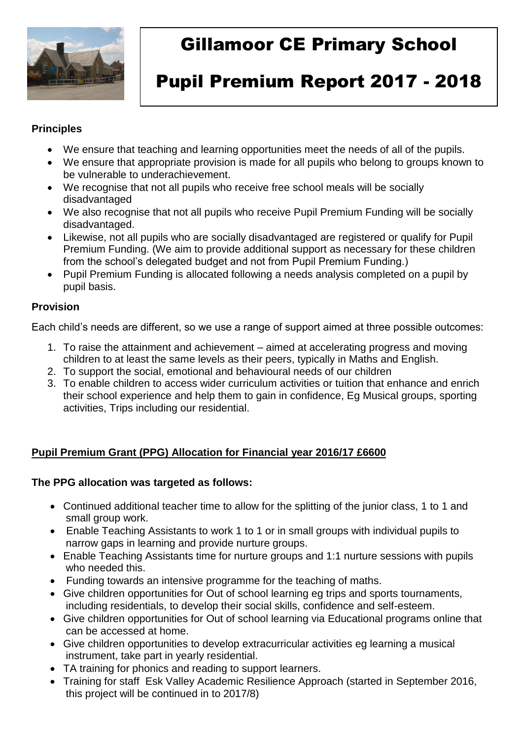

# Gillamoor CE Primary School

# Pupil Premium Report 2017 - 2018

#### **Principles**

- We ensure that teaching and learning opportunities meet the needs of all of the pupils.
- We ensure that appropriate provision is made for all pupils who belong to groups known to be vulnerable to underachievement.
- We recognise that not all pupils who receive free school meals will be socially disadvantaged
- We also recognise that not all pupils who receive Pupil Premium Funding will be socially disadvantaged.
- Likewise, not all pupils who are socially disadvantaged are registered or qualify for Pupil Premium Funding. (We aim to provide additional support as necessary for these children from the school's delegated budget and not from Pupil Premium Funding.)
- Pupil Premium Funding is allocated following a needs analysis completed on a pupil by pupil basis.

## **Provision**

Each child's needs are different, so we use a range of support aimed at three possible outcomes:

- 1. To raise the attainment and achievement aimed at accelerating progress and moving children to at least the same levels as their peers, typically in Maths and English.
- 2. To support the social, emotional and behavioural needs of our children
- 3. To enable children to access wider curriculum activities or tuition that enhance and enrich their school experience and help them to gain in confidence, Eg Musical groups, sporting activities, Trips including our residential.

## **Pupil Premium Grant (PPG) Allocation for Financial year 2016/17 £6600**

#### **The PPG allocation was targeted as follows:**

- Continued additional teacher time to allow for the splitting of the junior class, 1 to 1 and small group work.
- Enable Teaching Assistants to work 1 to 1 or in small groups with individual pupils to narrow gaps in learning and provide nurture groups.
- Enable Teaching Assistants time for nurture groups and 1:1 nurture sessions with pupils who needed this.
- Funding towards an intensive programme for the teaching of maths.
- Give children opportunities for Out of school learning eg trips and sports tournaments, including residentials, to develop their social skills, confidence and self-esteem.
- Give children opportunities for Out of school learning via Educational programs online that can be accessed at home.
- Give children opportunities to develop extracurricular activities eg learning a musical instrument, take part in yearly residential.
- TA training for phonics and reading to support learners.
- Training for staff Esk Valley Academic Resilience Approach (started in September 2016, this project will be continued in to 2017/8)